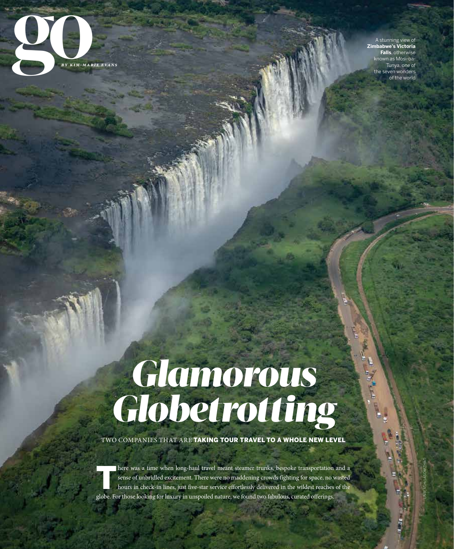

A stunning view of **Zimbabwe's Victoria Falls**, otherwise nown as Mosi-oa-Tunya, one of seven wonders of the world

# *Glamorous Globetrotting*

TWO COMPANIES THAT ARE TAKING TOUR TRAVEL TO A WHOLE NEW LEVEL

There was a time when long-haul travel meant steamer trunks, bespoke transportation and a sense of unbridled excitement. There were no maddening crowds fighting for space, no wasted hours in check-in lines, just five-star service effortlessly delivered in the wildest reaches of the globe. For those looking for luxury in unspoiled nature, we found two fabulous, curated offerings.

greenwichmag.com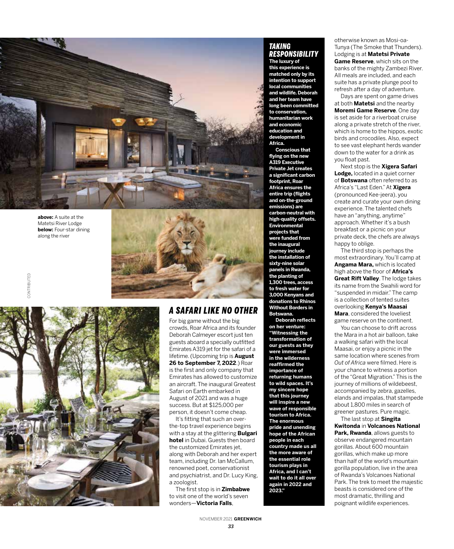

**above:** A suite at the Matetsi River Lodge **below:** Four-star dining along the river

CONTRIBUTED

CONTRIBUTED





# *A SAFARI LIKE NO OTHER*

For big game without the big crowds, Roar Africa and its founder Deborah Calmeyer escort just ten guests aboard a specially outfitted Emirates A319 jet for the safari of a lifetime. (Upcoming trip is **August 26 to September 7, 2022**.) Roar is the first and only company that Emirates has allowed to customize an aircraft. The inaugural Greatest Safari on Earth embarked in August of 2021 and was a huge success. But at \$125,000 per person, it doesn't come cheap.

It's fitting that such an overthe-top travel experience begins with a stay at the glittering **Bulgari hotel** in Dubai. Guests then board the customized Emirates jet, along with Deborah and her expert team, including Dr. Ian McCallum, renowned poet, conservationist and psychiatrist, and Dr. Lucy King, a zoologist.

The first stop is in **Zimbabwe** to visit one of the world's seven wonders—**Victoria Falls**,

### *TAKING RESPONSIBILITY*

**The luxury of this experience is matched only by its intention to support local communities and wildlife. Deborah and her team have long been committed to conservation, humanitarian work and economic education and development in Africa.** 

**Conscious that flying on the new A319 Executive Private Jet creates a significant carbon footprint, Roar Africa ensures the entire trip (flights and on-the-ground emissions) are carbon-neutral with high-quality offsets. Environmental projects that were funded from the inaugural journey include the installation of sixty-nine solar panels in Rwanda, the planting of 1,300 trees, access to fresh water for 3,000 Kenyans and donations to Rhinos Without Borders in Botswana.**

**Deborah reflects on her venture: "Witnessing the transformation of our guests as they were immersed in the wilderness reaffirmed the importance of returning humans to wild spaces. It's my sincere hope that this journey will inspire a new wave of responsible tourism to Africa. The enormous pride and unending hope of the African people in each country made us all the more aware of the essential role tourism plays in Africa, and I can't wait to do it all over again in 2022 and 2023."**

otherwise known as Mosi-oa-Tunya (The Smoke that Thunders). Lodging is at **Matetsi Private Game Reserve**, which sits on the banks of the mighty Zambezi River. All meals are included, and each suite has a private plunge pool to refresh after a day of adventure.

Days are spent on game drives at both **Matetsi** and the nearby **Moremi Game Reserve**. One day is set aside for a riverboat cruise along a private stretch of the river, which is home to the hippos, exotic birds and crocodiles. Also, expect to see vast elephant herds wander down to the water for a drink as you float past.

Next stop is the **Xigera Safari Lodge,** located in a quiet corner of **Botswana** often referred to as Africa's "Last Eden." At **Xigera**  (pronounced Kee-jeera), you create and curate your own dining experience. The talented chefs have an "anything, anytime" approach. Whether it's a bush breakfast or a picnic on your private deck, the chefs are always happy to oblige.

The third stop is perhaps the most extraordinary. You'll camp at **Angama Mara,** which is located high above the floor of **Africa's Great Rift Valley**. The lodge takes its name from the Swahili word for "suspended in midair." The camp is a collection of tented suites overlooking **Kenya's Maasai Mara**, considered the loveliest game reserve on the continent.

You can choose to drift across the Mara in a hot air balloon, take a walking safari with the local Maasai, or enjoy a picnic in the same location where scenes from *Out of Africa* were filmed. Here is your chance to witness a portion of the "Great Migration." This is the journey of millions of wildebeest, accompanied by zebra, gazelles, elands and impalas, that stampede about 1,800 miles in search of greener pastures. Pure magic. The last stop at **Singita** 

**Kwitonda** in **Volcanoes National Park, Rwanda**, allows guests to observe endangered mountain gorillas. About 600 mountain gorillas, which make up more than half of the world's mountain gorilla population, live in the area of Rwanda's Volcanoes National Park. The trek to meet the majestic beasts is considered one of the most dramatic, thrilling and poignant wildlife experiences.